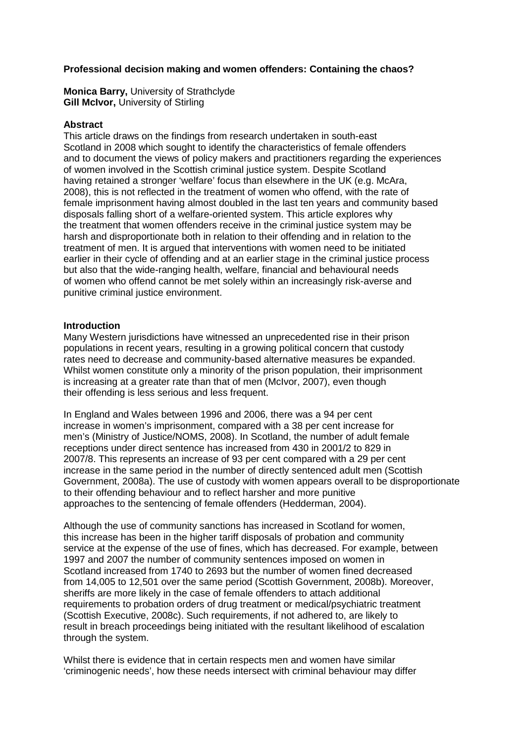# **Professional decision making and women offenders: Containing the chaos?**

**Monica Barry,** University of Strathclyde **Gill McIvor, University of Stirling** 

# **Abstract**

This article draws on the findings from research undertaken in south-east Scotland in 2008 which sought to identify the characteristics of female offenders and to document the views of policy makers and practitioners regarding the experiences of women involved in the Scottish criminal justice system. Despite Scotland having retained a stronger 'welfare' focus than elsewhere in the UK (e.g. McAra, 2008), this is not reflected in the treatment of women who offend, with the rate of female imprisonment having almost doubled in the last ten years and community based disposals falling short of a welfare-oriented system. This article explores why the treatment that women offenders receive in the criminal justice system may be harsh and disproportionate both in relation to their offending and in relation to the treatment of men. It is argued that interventions with women need to be initiated earlier in their cycle of offending and at an earlier stage in the criminal justice process but also that the wide-ranging health, welfare, financial and behavioural needs of women who offend cannot be met solely within an increasingly risk-averse and punitive criminal justice environment.

# **Introduction**

Many Western jurisdictions have witnessed an unprecedented rise in their prison populations in recent years, resulting in a growing political concern that custody rates need to decrease and community-based alternative measures be expanded. Whilst women constitute only a minority of the prison population, their imprisonment is increasing at a greater rate than that of men (McIvor, 2007), even though their offending is less serious and less frequent.

In England and Wales between 1996 and 2006, there was a 94 per cent increase in women's imprisonment, compared with a 38 per cent increase for men's (Ministry of Justice/NOMS, 2008). In Scotland, the number of adult female receptions under direct sentence has increased from 430 in 2001/2 to 829 in 2007/8. This represents an increase of 93 per cent compared with a 29 per cent increase in the same period in the number of directly sentenced adult men (Scottish Government, 2008a). The use of custody with women appears overall to be disproportionate to their offending behaviour and to reflect harsher and more punitive approaches to the sentencing of female offenders (Hedderman, 2004).

Although the use of community sanctions has increased in Scotland for women, this increase has been in the higher tariff disposals of probation and community service at the expense of the use of fines, which has decreased. For example, between 1997 and 2007 the number of community sentences imposed on women in Scotland increased from 1740 to 2693 but the number of women fined decreased from 14,005 to 12,501 over the same period (Scottish Government, 2008b). Moreover, sheriffs are more likely in the case of female offenders to attach additional requirements to probation orders of drug treatment or medical/psychiatric treatment (Scottish Executive, 2008c). Such requirements, if not adhered to, are likely to result in breach proceedings being initiated with the resultant likelihood of escalation through the system.

Whilst there is evidence that in certain respects men and women have similar 'criminogenic needs', how these needs intersect with criminal behaviour may differ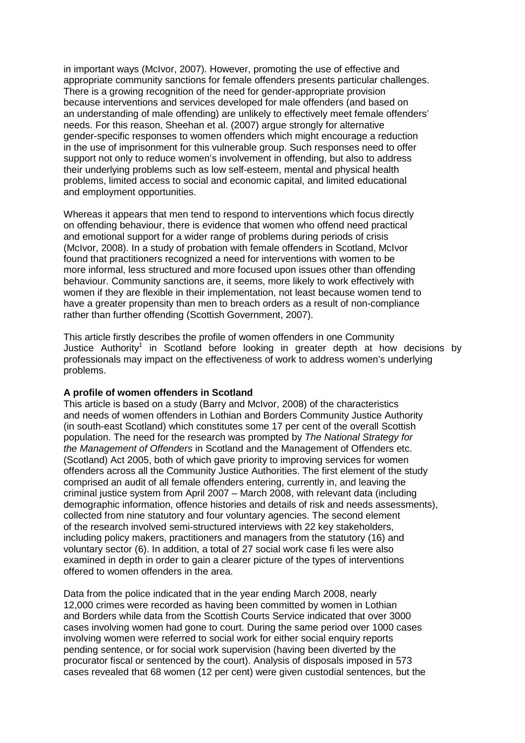in important ways (McIvor, 2007). However, promoting the use of effective and appropriate community sanctions for female offenders presents particular challenges. There is a growing recognition of the need for gender-appropriate provision because interventions and services developed for male offenders (and based on an understanding of male offending) are unlikely to effectively meet female offenders' needs. For this reason, Sheehan et al. (2007) argue strongly for alternative gender-specific responses to women offenders which might encourage a reduction in the use of imprisonment for this vulnerable group. Such responses need to offer support not only to reduce women's involvement in offending, but also to address their underlying problems such as low self-esteem, mental and physical health problems, limited access to social and economic capital, and limited educational and employment opportunities.

Whereas it appears that men tend to respond to interventions which focus directly on offending behaviour, there is evidence that women who offend need practical and emotional support for a wider range of problems during periods of crisis (McIvor, 2008). In a study of probation with female offenders in Scotland, McIvor found that practitioners recognized a need for interventions with women to be more informal, less structured and more focused upon issues other than offending behaviour. Community sanctions are, it seems, more likely to work effectively with women if they are flexible in their implementation, not least because women tend to have a greater propensity than men to breach orders as a result of non-compliance rather than further offending (Scottish Government, 2007).

This article firstly describes the profile of women offenders in one Community Justice Authority<sup>1</sup> in Scotland before looking in greater depth at how decisions by professionals may impact on the effectiveness of work to address women's underlying problems.

#### **A profile of women offenders in Scotland**

This article is based on a study (Barry and McIvor, 2008) of the characteristics and needs of women offenders in Lothian and Borders Community Justice Authority (in south-east Scotland) which constitutes some 17 per cent of the overall Scottish population. The need for the research was prompted by The National Strategy for the Management of Offenders in Scotland and the Management of Offenders etc. (Scotland) Act 2005, both of which gave priority to improving services for women offenders across all the Community Justice Authorities. The first element of the study comprised an audit of all female offenders entering, currently in, and leaving the criminal justice system from April 2007 – March 2008, with relevant data (including demographic information, offence histories and details of risk and needs assessments), collected from nine statutory and four voluntary agencies. The second element of the research involved semi-structured interviews with 22 key stakeholders, including policy makers, practitioners and managers from the statutory (16) and voluntary sector (6). In addition, a total of 27 social work case fi les were also examined in depth in order to gain a clearer picture of the types of interventions offered to women offenders in the area.

Data from the police indicated that in the year ending March 2008, nearly 12,000 crimes were recorded as having been committed by women in Lothian and Borders while data from the Scottish Courts Service indicated that over 3000 cases involving women had gone to court. During the same period over 1000 cases involving women were referred to social work for either social enquiry reports pending sentence, or for social work supervision (having been diverted by the procurator fiscal or sentenced by the court). Analysis of disposals imposed in 573 cases revealed that 68 women (12 per cent) were given custodial sentences, but the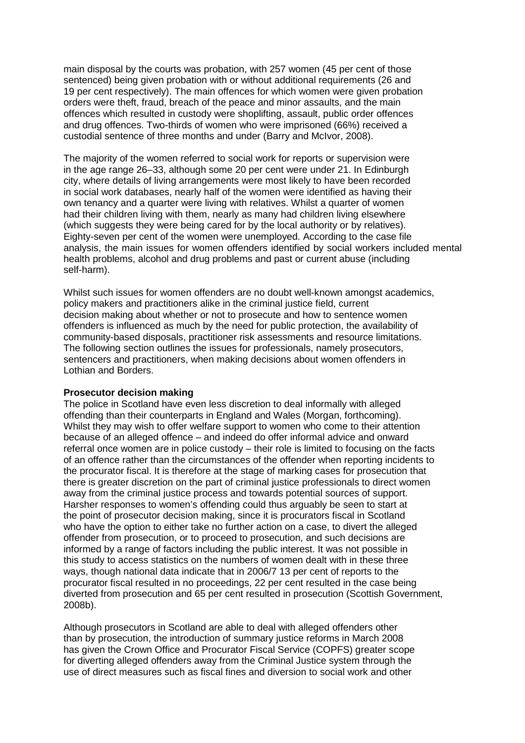main disposal by the courts was probation, with 257 women (45 per cent of those sentenced) being given probation with or without additional requirements (26 and 19 per cent respectively). The main offences for which women were given probation orders were theft, fraud, breach of the peace and minor assaults, and the main offences which resulted in custody were shoplifting, assault, public order offences and drug offences. Two-thirds of women who were imprisoned (66%) received a custodial sentence of three months and under (Barry and McIvor, 2008).

The majority of the women referred to social work for reports or supervision were in the age range 26–33, although some 20 per cent were under 21. In Edinburgh city, where details of living arrangements were most likely to have been recorded in social work databases, nearly half of the women were identified as having their own tenancy and a quarter were living with relatives. Whilst a quarter of women had their children living with them, nearly as many had children living elsewhere (which suggests they were being cared for by the local authority or by relatives). Eighty-seven per cent of the women were unemployed. According to the case file analysis, the main issues for women offenders identified by social workers included mental health problems, alcohol and drug problems and past or current abuse (including self-harm).

Whilst such issues for women offenders are no doubt well-known amongst academics, policy makers and practitioners alike in the criminal justice field, current decision making about whether or not to prosecute and how to sentence women offenders is influenced as much by the need for public protection, the availability of community-based disposals, practitioner risk assessments and resource limitations. The following section outlines the issues for professionals, namely prosecutors, sentencers and practitioners, when making decisions about women offenders in Lothian and Borders.

## **Prosecutor decision making**

The police in Scotland have even less discretion to deal informally with alleged offending than their counterparts in England and Wales (Morgan, forthcoming). Whilst they may wish to offer welfare support to women who come to their attention because of an alleged offence – and indeed do offer informal advice and onward referral once women are in police custody – their role is limited to focusing on the facts of an offence rather than the circumstances of the offender when reporting incidents to the procurator fiscal. It is therefore at the stage of marking cases for prosecution that there is greater discretion on the part of criminal justice professionals to direct women away from the criminal justice process and towards potential sources of support. Harsher responses to women's offending could thus arguably be seen to start at the point of prosecutor decision making, since it is procurators fiscal in Scotland who have the option to either take no further action on a case, to divert the alleged offender from prosecution, or to proceed to prosecution, and such decisions are informed by a range of factors including the public interest. It was not possible in this study to access statistics on the numbers of women dealt with in these three ways, though national data indicate that in 2006/7 13 per cent of reports to the procurator fiscal resulted in no proceedings, 22 per cent resulted in the case being diverted from prosecution and 65 per cent resulted in prosecution (Scottish Government, 2008b).

Although prosecutors in Scotland are able to deal with alleged offenders other than by prosecution, the introduction of summary justice reforms in March 2008 has given the Crown Office and Procurator Fiscal Service (COPFS) greater scope for diverting alleged offenders away from the Criminal Justice system through the use of direct measures such as fiscal fines and diversion to social work and other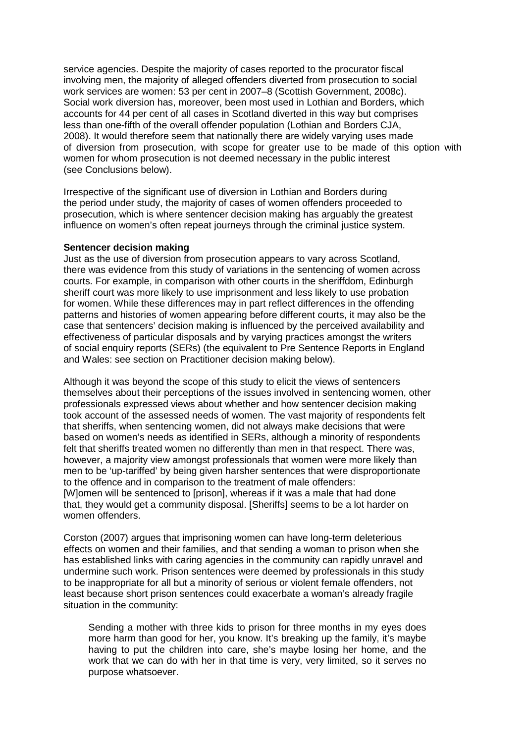service agencies. Despite the majority of cases reported to the procurator fiscal involving men, the majority of alleged offenders diverted from prosecution to social work services are women: 53 per cent in 2007–8 (Scottish Government, 2008c). Social work diversion has, moreover, been most used in Lothian and Borders, which accounts for 44 per cent of all cases in Scotland diverted in this way but comprises less than one-fifth of the overall offender population (Lothian and Borders CJA, 2008). It would therefore seem that nationally there are widely varying uses made of diversion from prosecution, with scope for greater use to be made of this option with women for whom prosecution is not deemed necessary in the public interest (see Conclusions below).

Irrespective of the significant use of diversion in Lothian and Borders during the period under study, the majority of cases of women offenders proceeded to prosecution, which is where sentencer decision making has arguably the greatest influence on women's often repeat journeys through the criminal justice system.

## **Sentencer decision making**

Just as the use of diversion from prosecution appears to vary across Scotland, there was evidence from this study of variations in the sentencing of women across courts. For example, in comparison with other courts in the sheriffdom, Edinburgh sheriff court was more likely to use imprisonment and less likely to use probation for women. While these differences may in part reflect differences in the offending patterns and histories of women appearing before different courts, it may also be the case that sentencers' decision making is influenced by the perceived availability and effectiveness of particular disposals and by varying practices amongst the writers of social enquiry reports (SERs) (the equivalent to Pre Sentence Reports in England and Wales: see section on Practitioner decision making below).

Although it was beyond the scope of this study to elicit the views of sentencers themselves about their perceptions of the issues involved in sentencing women, other professionals expressed views about whether and how sentencer decision making took account of the assessed needs of women. The vast majority of respondents felt that sheriffs, when sentencing women, did not always make decisions that were based on women's needs as identified in SERs, although a minority of respondents felt that sheriffs treated women no differently than men in that respect. There was, however, a majority view amongst professionals that women were more likely than men to be 'up-tariffed' by being given harsher sentences that were disproportionate to the offence and in comparison to the treatment of male offenders: [W]omen will be sentenced to [prison], whereas if it was a male that had done that, they would get a community disposal. [Sheriffs] seems to be a lot harder on women offenders.

Corston (2007) argues that imprisoning women can have long-term deleterious effects on women and their families, and that sending a woman to prison when she has established links with caring agencies in the community can rapidly unravel and undermine such work. Prison sentences were deemed by professionals in this study to be inappropriate for all but a minority of serious or violent female offenders, not least because short prison sentences could exacerbate a woman's already fragile situation in the community:

Sending a mother with three kids to prison for three months in my eyes does more harm than good for her, you know. It's breaking up the family, it's maybe having to put the children into care, she's maybe losing her home, and the work that we can do with her in that time is very, very limited, so it serves no purpose whatsoever.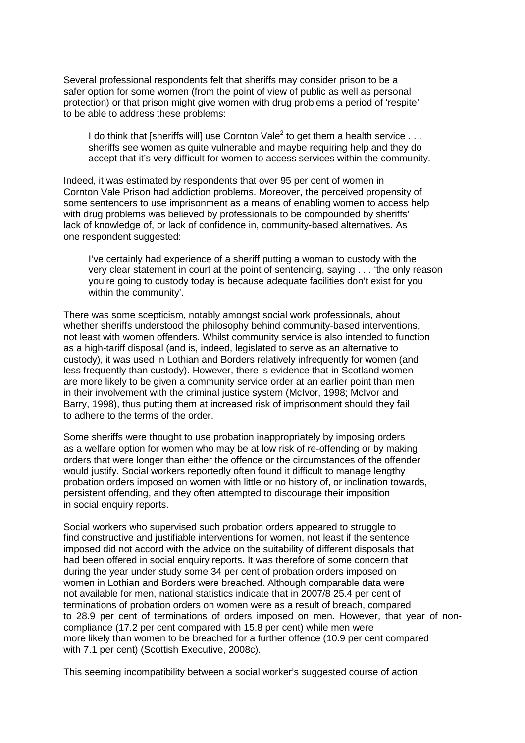Several professional respondents felt that sheriffs may consider prison to be a safer option for some women (from the point of view of public as well as personal protection) or that prison might give women with drug problems a period of 'respite' to be able to address these problems:

I do think that [sheriffs will] use Cornton Vale<sup>2</sup> to get them a health service  $\dots$ sheriffs see women as quite vulnerable and maybe requiring help and they do accept that it's very difficult for women to access services within the community.

Indeed, it was estimated by respondents that over 95 per cent of women in Cornton Vale Prison had addiction problems. Moreover, the perceived propensity of some sentencers to use imprisonment as a means of enabling women to access help with drug problems was believed by professionals to be compounded by sheriffs' lack of knowledge of, or lack of confidence in, community-based alternatives. As one respondent suggested:

I've certainly had experience of a sheriff putting a woman to custody with the very clear statement in court at the point of sentencing, saying . . . 'the only reason you're going to custody today is because adequate facilities don't exist for you within the community'.

There was some scepticism, notably amongst social work professionals, about whether sheriffs understood the philosophy behind community-based interventions, not least with women offenders. Whilst community service is also intended to function as a high-tariff disposal (and is, indeed, legislated to serve as an alternative to custody), it was used in Lothian and Borders relatively infrequently for women (and less frequently than custody). However, there is evidence that in Scotland women are more likely to be given a community service order at an earlier point than men in their involvement with the criminal justice system (McIvor, 1998; McIvor and Barry, 1998), thus putting them at increased risk of imprisonment should they fail to adhere to the terms of the order.

Some sheriffs were thought to use probation inappropriately by imposing orders as a welfare option for women who may be at low risk of re-offending or by making orders that were longer than either the offence or the circumstances of the offender would justify. Social workers reportedly often found it difficult to manage lengthy probation orders imposed on women with little or no history of, or inclination towards, persistent offending, and they often attempted to discourage their imposition in social enquiry reports.

Social workers who supervised such probation orders appeared to struggle to find constructive and justifiable interventions for women, not least if the sentence imposed did not accord with the advice on the suitability of different disposals that had been offered in social enquiry reports. It was therefore of some concern that during the year under study some 34 per cent of probation orders imposed on women in Lothian and Borders were breached. Although comparable data were not available for men, national statistics indicate that in 2007/8 25.4 per cent of terminations of probation orders on women were as a result of breach, compared to 28.9 per cent of terminations of orders imposed on men. However, that year of noncompliance (17.2 per cent compared with 15.8 per cent) while men were more likely than women to be breached for a further offence (10.9 per cent compared with 7.1 per cent) (Scottish Executive, 2008c).

This seeming incompatibility between a social worker's suggested course of action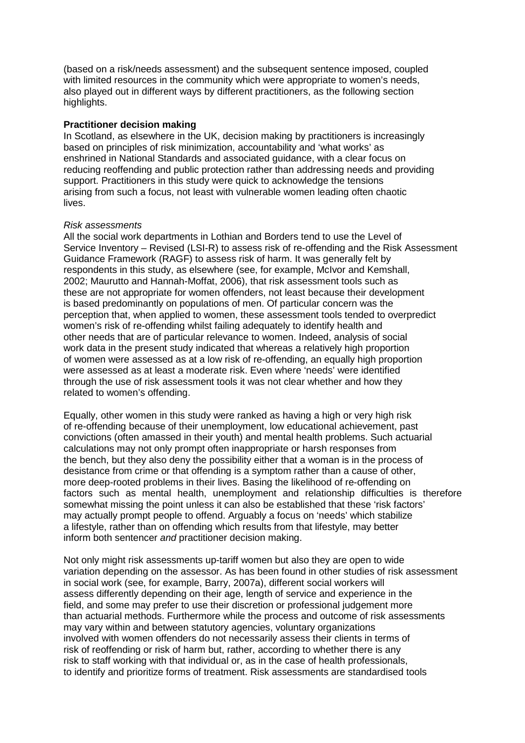(based on a risk/needs assessment) and the subsequent sentence imposed, coupled with limited resources in the community which were appropriate to women's needs, also played out in different ways by different practitioners, as the following section highlights.

## **Practitioner decision making**

In Scotland, as elsewhere in the UK, decision making by practitioners is increasingly based on principles of risk minimization, accountability and 'what works' as enshrined in National Standards and associated guidance, with a clear focus on reducing reoffending and public protection rather than addressing needs and providing support. Practitioners in this study were quick to acknowledge the tensions arising from such a focus, not least with vulnerable women leading often chaotic lives.

# Risk assessments

All the social work departments in Lothian and Borders tend to use the Level of Service Inventory – Revised (LSI-R) to assess risk of re-offending and the Risk Assessment Guidance Framework (RAGF) to assess risk of harm. It was generally felt by respondents in this study, as elsewhere (see, for example, McIvor and Kemshall, 2002; Maurutto and Hannah-Moffat, 2006), that risk assessment tools such as these are not appropriate for women offenders, not least because their development is based predominantly on populations of men. Of particular concern was the perception that, when applied to women, these assessment tools tended to overpredict women's risk of re-offending whilst failing adequately to identify health and other needs that are of particular relevance to women. Indeed, analysis of social work data in the present study indicated that whereas a relatively high proportion of women were assessed as at a low risk of re-offending, an equally high proportion were assessed as at least a moderate risk. Even where 'needs' were identified through the use of risk assessment tools it was not clear whether and how they related to women's offending.

Equally, other women in this study were ranked as having a high or very high risk of re-offending because of their unemployment, low educational achievement, past convictions (often amassed in their youth) and mental health problems. Such actuarial calculations may not only prompt often inappropriate or harsh responses from the bench, but they also deny the possibility either that a woman is in the process of desistance from crime or that offending is a symptom rather than a cause of other, more deep-rooted problems in their lives. Basing the likelihood of re-offending on factors such as mental health, unemployment and relationship difficulties is therefore somewhat missing the point unless it can also be established that these 'risk factors' may actually prompt people to offend. Arguably a focus on 'needs' which stabilize a lifestyle, rather than on offending which results from that lifestyle, may better inform both sentencer and practitioner decision making.

Not only might risk assessments up-tariff women but also they are open to wide variation depending on the assessor. As has been found in other studies of risk assessment in social work (see, for example, Barry, 2007a), different social workers will assess differently depending on their age, length of service and experience in the field, and some may prefer to use their discretion or professional judgement more than actuarial methods. Furthermore while the process and outcome of risk assessments may vary within and between statutory agencies, voluntary organizations involved with women offenders do not necessarily assess their clients in terms of risk of reoffending or risk of harm but, rather, according to whether there is any risk to staff working with that individual or, as in the case of health professionals, to identify and prioritize forms of treatment. Risk assessments are standardised tools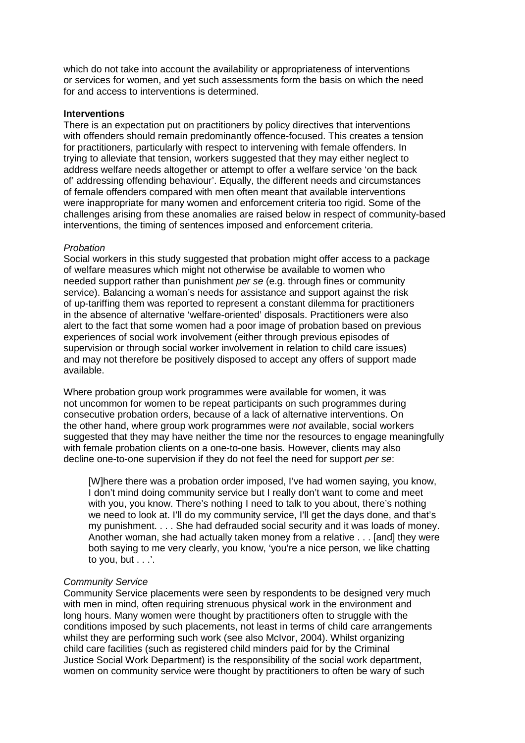which do not take into account the availability or appropriateness of interventions or services for women, and yet such assessments form the basis on which the need for and access to interventions is determined.

#### **Interventions**

There is an expectation put on practitioners by policy directives that interventions with offenders should remain predominantly offence-focused. This creates a tension for practitioners, particularly with respect to intervening with female offenders. In trying to alleviate that tension, workers suggested that they may either neglect to address welfare needs altogether or attempt to offer a welfare service 'on the back of' addressing offending behaviour'. Equally, the different needs and circumstances of female offenders compared with men often meant that available interventions were inappropriate for many women and enforcement criteria too rigid. Some of the challenges arising from these anomalies are raised below in respect of community-based interventions, the timing of sentences imposed and enforcement criteria.

#### Probation

Social workers in this study suggested that probation might offer access to a package of welfare measures which might not otherwise be available to women who needed support rather than punishment per se (e.g. through fines or community service). Balancing a woman's needs for assistance and support against the risk of up-tariffing them was reported to represent a constant dilemma for practitioners in the absence of alternative 'welfare-oriented' disposals. Practitioners were also alert to the fact that some women had a poor image of probation based on previous experiences of social work involvement (either through previous episodes of supervision or through social worker involvement in relation to child care issues) and may not therefore be positively disposed to accept any offers of support made available.

Where probation group work programmes were available for women, it was not uncommon for women to be repeat participants on such programmes during consecutive probation orders, because of a lack of alternative interventions. On the other hand, where group work programmes were not available, social workers suggested that they may have neither the time nor the resources to engage meaningfully with female probation clients on a one-to-one basis. However, clients may also decline one-to-one supervision if they do not feel the need for support per se:

[W]here there was a probation order imposed, I've had women saying, you know, I don't mind doing community service but I really don't want to come and meet with you, you know. There's nothing I need to talk to you about, there's nothing we need to look at. I'll do my community service, I'll get the days done, and that's my punishment. . . . She had defrauded social security and it was loads of money. Another woman, she had actually taken money from a relative . . . [and] they were both saying to me very clearly, you know, 'you're a nice person, we like chatting to you, but  $\ldots$ .

## Community Service

Community Service placements were seen by respondents to be designed very much with men in mind, often requiring strenuous physical work in the environment and long hours. Many women were thought by practitioners often to struggle with the conditions imposed by such placements, not least in terms of child care arrangements whilst they are performing such work (see also McIvor, 2004). Whilst organizing child care facilities (such as registered child minders paid for by the Criminal Justice Social Work Department) is the responsibility of the social work department, women on community service were thought by practitioners to often be wary of such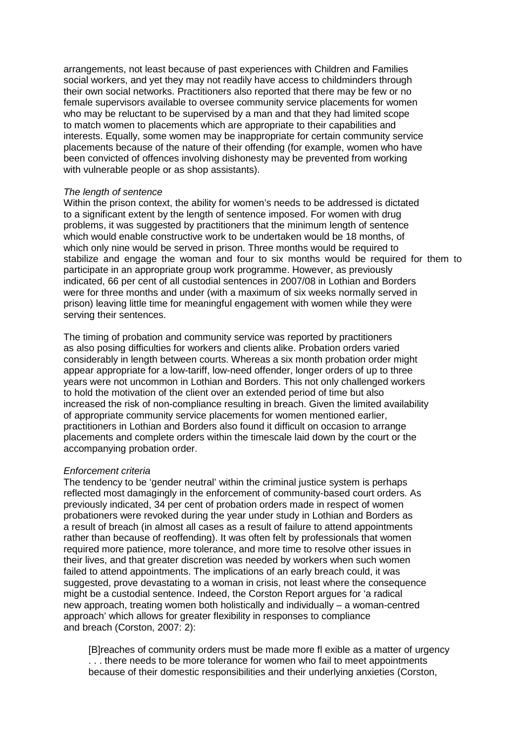arrangements, not least because of past experiences with Children and Families social workers, and yet they may not readily have access to childminders through their own social networks. Practitioners also reported that there may be few or no female supervisors available to oversee community service placements for women who may be reluctant to be supervised by a man and that they had limited scope to match women to placements which are appropriate to their capabilities and interests. Equally, some women may be inappropriate for certain community service placements because of the nature of their offending (for example, women who have been convicted of offences involving dishonesty may be prevented from working with vulnerable people or as shop assistants).

#### The length of sentence

Within the prison context, the ability for women's needs to be addressed is dictated to a significant extent by the length of sentence imposed. For women with drug problems, it was suggested by practitioners that the minimum length of sentence which would enable constructive work to be undertaken would be 18 months, of which only nine would be served in prison. Three months would be required to stabilize and engage the woman and four to six months would be required for them to participate in an appropriate group work programme. However, as previously indicated, 66 per cent of all custodial sentences in 2007/08 in Lothian and Borders were for three months and under (with a maximum of six weeks normally served in prison) leaving little time for meaningful engagement with women while they were serving their sentences.

The timing of probation and community service was reported by practitioners as also posing difficulties for workers and clients alike. Probation orders varied considerably in length between courts. Whereas a six month probation order might appear appropriate for a low-tariff, low-need offender, longer orders of up to three years were not uncommon in Lothian and Borders. This not only challenged workers to hold the motivation of the client over an extended period of time but also increased the risk of non-compliance resulting in breach. Given the limited availability of appropriate community service placements for women mentioned earlier, practitioners in Lothian and Borders also found it difficult on occasion to arrange placements and complete orders within the timescale laid down by the court or the accompanying probation order.

## Enforcement criteria

The tendency to be 'gender neutral' within the criminal justice system is perhaps reflected most damagingly in the enforcement of community-based court orders. As previously indicated, 34 per cent of probation orders made in respect of women probationers were revoked during the year under study in Lothian and Borders as a result of breach (in almost all cases as a result of failure to attend appointments rather than because of reoffending). It was often felt by professionals that women required more patience, more tolerance, and more time to resolve other issues in their lives, and that greater discretion was needed by workers when such women failed to attend appointments. The implications of an early breach could, it was suggested, prove devastating to a woman in crisis, not least where the consequence might be a custodial sentence. Indeed, the Corston Report argues for 'a radical new approach, treating women both holistically and individually – a woman-centred approach' which allows for greater flexibility in responses to compliance and breach (Corston, 2007: 2):

[B]reaches of community orders must be made more fl exible as a matter of urgency . . . there needs to be more tolerance for women who fail to meet appointments because of their domestic responsibilities and their underlying anxieties (Corston,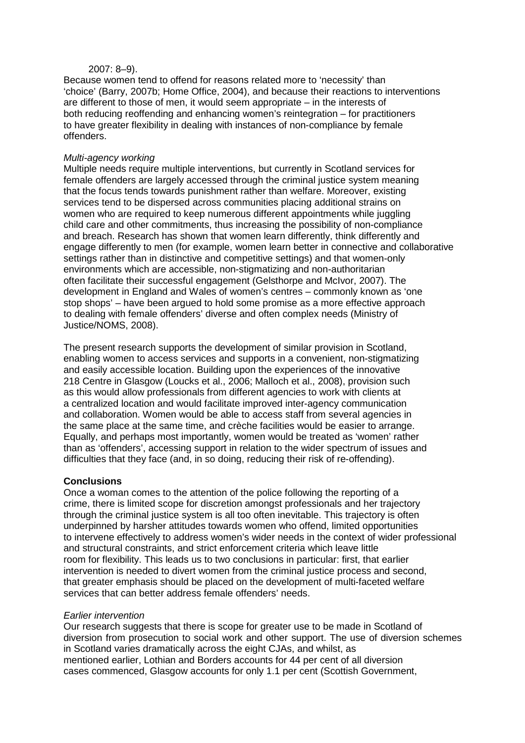## 2007: 8–9).

Because women tend to offend for reasons related more to 'necessity' than 'choice' (Barry, 2007b; Home Office, 2004), and because their reactions to interventions are different to those of men, it would seem appropriate – in the interests of both reducing reoffending and enhancing women's reintegration – for practitioners to have greater flexibility in dealing with instances of non-compliance by female offenders.

## Multi-agency working

Multiple needs require multiple interventions, but currently in Scotland services for female offenders are largely accessed through the criminal justice system meaning that the focus tends towards punishment rather than welfare. Moreover, existing services tend to be dispersed across communities placing additional strains on women who are required to keep numerous different appointments while juggling child care and other commitments, thus increasing the possibility of non-compliance and breach. Research has shown that women learn differently, think differently and engage differently to men (for example, women learn better in connective and collaborative settings rather than in distinctive and competitive settings) and that women-only environments which are accessible, non-stigmatizing and non-authoritarian often facilitate their successful engagement (Gelsthorpe and McIvor, 2007). The development in England and Wales of women's centres – commonly known as 'one stop shops' – have been argued to hold some promise as a more effective approach to dealing with female offenders' diverse and often complex needs (Ministry of Justice/NOMS, 2008).

The present research supports the development of similar provision in Scotland, enabling women to access services and supports in a convenient, non-stigmatizing and easily accessible location. Building upon the experiences of the innovative 218 Centre in Glasgow (Loucks et al., 2006; Malloch et al., 2008), provision such as this would allow professionals from different agencies to work with clients at a centralized location and would facilitate improved inter-agency communication and collaboration. Women would be able to access staff from several agencies in the same place at the same time, and crèche facilities would be easier to arrange. Equally, and perhaps most importantly, women would be treated as 'women' rather than as 'offenders', accessing support in relation to the wider spectrum of issues and difficulties that they face (and, in so doing, reducing their risk of re-offending).

## **Conclusions**

Once a woman comes to the attention of the police following the reporting of a crime, there is limited scope for discretion amongst professionals and her trajectory through the criminal justice system is all too often inevitable. This trajectory is often underpinned by harsher attitudes towards women who offend, limited opportunities to intervene effectively to address women's wider needs in the context of wider professional and structural constraints, and strict enforcement criteria which leave little room for flexibility. This leads us to two conclusions in particular: first, that earlier intervention is needed to divert women from the criminal justice process and second, that greater emphasis should be placed on the development of multi-faceted welfare services that can better address female offenders' needs.

#### Earlier intervention

Our research suggests that there is scope for greater use to be made in Scotland of diversion from prosecution to social work and other support. The use of diversion schemes in Scotland varies dramatically across the eight CJAs, and whilst, as mentioned earlier, Lothian and Borders accounts for 44 per cent of all diversion cases commenced, Glasgow accounts for only 1.1 per cent (Scottish Government,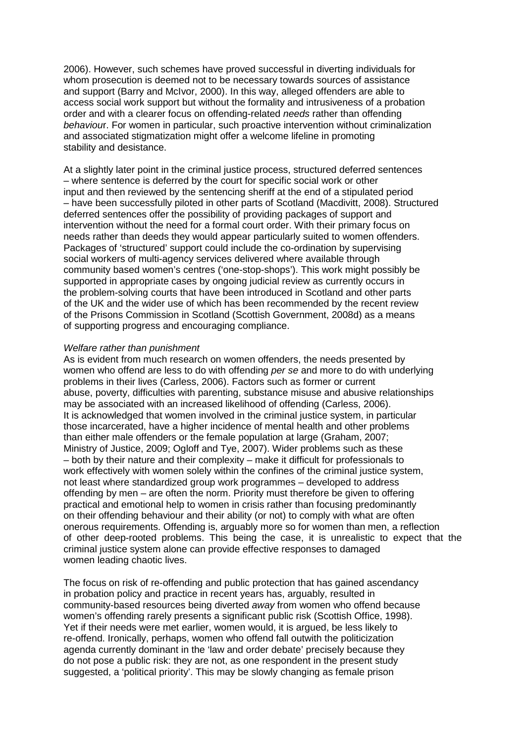2006). However, such schemes have proved successful in diverting individuals for whom prosecution is deemed not to be necessary towards sources of assistance and support (Barry and McIvor, 2000). In this way, alleged offenders are able to access social work support but without the formality and intrusiveness of a probation order and with a clearer focus on offending-related needs rather than offending behaviour. For women in particular, such proactive intervention without criminalization and associated stigmatization might offer a welcome lifeline in promoting stability and desistance.

At a slightly later point in the criminal justice process, structured deferred sentences – where sentence is deferred by the court for specific social work or other input and then reviewed by the sentencing sheriff at the end of a stipulated period – have been successfully piloted in other parts of Scotland (Macdivitt, 2008). Structured deferred sentences offer the possibility of providing packages of support and intervention without the need for a formal court order. With their primary focus on needs rather than deeds they would appear particularly suited to women offenders. Packages of 'structured' support could include the co-ordination by supervising social workers of multi-agency services delivered where available through community based women's centres ('one-stop-shops'). This work might possibly be supported in appropriate cases by ongoing judicial review as currently occurs in the problem-solving courts that have been introduced in Scotland and other parts of the UK and the wider use of which has been recommended by the recent review of the Prisons Commission in Scotland (Scottish Government, 2008d) as a means of supporting progress and encouraging compliance.

#### Welfare rather than punishment

As is evident from much research on women offenders, the needs presented by women who offend are less to do with offending per se and more to do with underlying problems in their lives (Carless, 2006). Factors such as former or current abuse, poverty, difficulties with parenting, substance misuse and abusive relationships may be associated with an increased likelihood of offending (Carless, 2006). It is acknowledged that women involved in the criminal justice system, in particular those incarcerated, have a higher incidence of mental health and other problems than either male offenders or the female population at large (Graham, 2007; Ministry of Justice, 2009; Ogloff and Tye, 2007). Wider problems such as these – both by their nature and their complexity – make it difficult for professionals to work effectively with women solely within the confines of the criminal justice system, not least where standardized group work programmes – developed to address offending by men – are often the norm. Priority must therefore be given to offering practical and emotional help to women in crisis rather than focusing predominantly on their offending behaviour and their ability (or not) to comply with what are often onerous requirements. Offending is, arguably more so for women than men, a reflection of other deep-rooted problems. This being the case, it is unrealistic to expect that the criminal justice system alone can provide effective responses to damaged women leading chaotic lives.

The focus on risk of re-offending and public protection that has gained ascendancy in probation policy and practice in recent years has, arguably, resulted in community-based resources being diverted away from women who offend because women's offending rarely presents a significant public risk (Scottish Office, 1998). Yet if their needs were met earlier, women would, it is argued, be less likely to re-offend. Ironically, perhaps, women who offend fall outwith the politicization agenda currently dominant in the 'law and order debate' precisely because they do not pose a public risk: they are not, as one respondent in the present study suggested, a 'political priority'. This may be slowly changing as female prison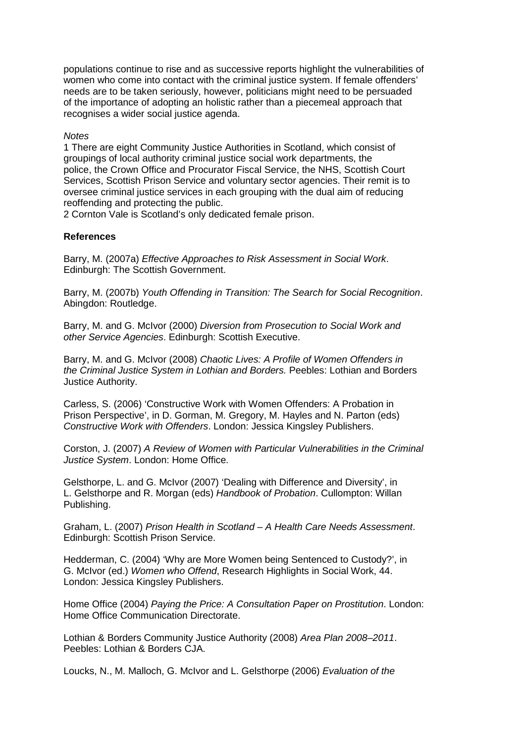populations continue to rise and as successive reports highlight the vulnerabilities of women who come into contact with the criminal justice system. If female offenders' needs are to be taken seriously, however, politicians might need to be persuaded of the importance of adopting an holistic rather than a piecemeal approach that recognises a wider social justice agenda.

## **Notes**

1 There are eight Community Justice Authorities in Scotland, which consist of groupings of local authority criminal justice social work departments, the police, the Crown Office and Procurator Fiscal Service, the NHS, Scottish Court Services, Scottish Prison Service and voluntary sector agencies. Their remit is to oversee criminal justice services in each grouping with the dual aim of reducing reoffending and protecting the public.

2 Cornton Vale is Scotland's only dedicated female prison.

#### **References**

Barry, M. (2007a) Effective Approaches to Risk Assessment in Social Work. Edinburgh: The Scottish Government.

Barry, M. (2007b) Youth Offending in Transition: The Search for Social Recognition. Abingdon: Routledge.

Barry, M. and G. McIvor (2000) Diversion from Prosecution to Social Work and other Service Agencies. Edinburgh: Scottish Executive.

Barry, M. and G. McIvor (2008) Chaotic Lives: A Profile of Women Offenders in the Criminal Justice System in Lothian and Borders. Peebles: Lothian and Borders Justice Authority.

Carless, S. (2006) 'Constructive Work with Women Offenders: A Probation in Prison Perspective', in D. Gorman, M. Gregory, M. Hayles and N. Parton (eds) Constructive Work with Offenders. London: Jessica Kingsley Publishers.

Corston, J. (2007) A Review of Women with Particular Vulnerabilities in the Criminal Justice System. London: Home Office.

Gelsthorpe, L. and G. McIvor (2007) 'Dealing with Difference and Diversity', in L. Gelsthorpe and R. Morgan (eds) Handbook of Probation. Cullompton: Willan Publishing.

Graham, L. (2007) Prison Health in Scotland – A Health Care Needs Assessment. Edinburgh: Scottish Prison Service.

Hedderman, C. (2004) 'Why are More Women being Sentenced to Custody?', in G. McIvor (ed.) Women who Offend, Research Highlights in Social Work, 44. London: Jessica Kingsley Publishers.

Home Office (2004) Paying the Price: A Consultation Paper on Prostitution. London: Home Office Communication Directorate.

Lothian & Borders Community Justice Authority (2008) Area Plan 2008–2011. Peebles: Lothian & Borders CJA.

Loucks, N., M. Malloch, G. McIvor and L. Gelsthorpe (2006) Evaluation of the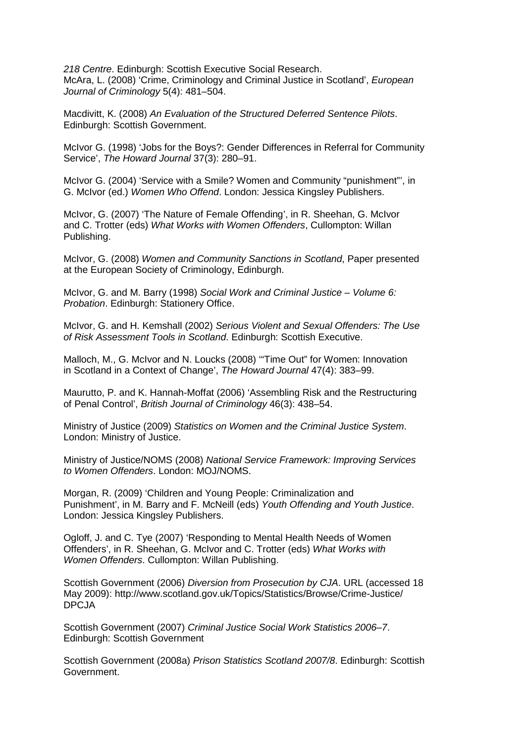218 Centre. Edinburgh: Scottish Executive Social Research. McAra, L. (2008) 'Crime, Criminology and Criminal Justice in Scotland', European Journal of Criminology 5(4): 481–504.

Macdivitt, K. (2008) An Evaluation of the Structured Deferred Sentence Pilots. Edinburgh: Scottish Government.

McIvor G. (1998) 'Jobs for the Boys?: Gender Differences in Referral for Community Service', The Howard Journal 37(3): 280–91.

McIvor G. (2004) 'Service with a Smile? Women and Community "punishment"', in G. McIvor (ed.) Women Who Offend. London: Jessica Kingsley Publishers.

McIvor, G. (2007) 'The Nature of Female Offending', in R. Sheehan, G. McIvor and C. Trotter (eds) What Works with Women Offenders, Cullompton: Willan Publishing.

McIvor, G. (2008) Women and Community Sanctions in Scotland, Paper presented at the European Society of Criminology, Edinburgh.

McIvor, G. and M. Barry (1998) Social Work and Criminal Justice – Volume 6: Probation. Edinburgh: Stationery Office.

McIvor, G. and H. Kemshall (2002) Serious Violent and Sexual Offenders: The Use of Risk Assessment Tools in Scotland. Edinburgh: Scottish Executive.

Malloch, M., G. McIvor and N. Loucks (2008) '"Time Out" for Women: Innovation in Scotland in a Context of Change', The Howard Journal 47(4): 383–99.

Maurutto, P. and K. Hannah-Moffat (2006) 'Assembling Risk and the Restructuring of Penal Control', British Journal of Criminology 46(3): 438–54.

Ministry of Justice (2009) Statistics on Women and the Criminal Justice System. London: Ministry of Justice.

Ministry of Justice/NOMS (2008) National Service Framework: Improving Services to Women Offenders. London: MOJ/NOMS.

Morgan, R. (2009) 'Children and Young People: Criminalization and Punishment', in M. Barry and F. McNeill (eds) Youth Offending and Youth Justice. London: Jessica Kingsley Publishers.

Ogloff, J. and C. Tye (2007) 'Responding to Mental Health Needs of Women Offenders', in R. Sheehan, G. McIvor and C. Trotter (eds) What Works with Women Offenders. Cullompton: Willan Publishing.

Scottish Government (2006) Diversion from Prosecution by CJA. URL (accessed 18 May 2009): http://www.scotland.gov.uk/Topics/Statistics/Browse/Crime-Justice/ DPCJA

Scottish Government (2007) Criminal Justice Social Work Statistics 2006–7. Edinburgh: Scottish Government

Scottish Government (2008a) Prison Statistics Scotland 2007/8. Edinburgh: Scottish Government.